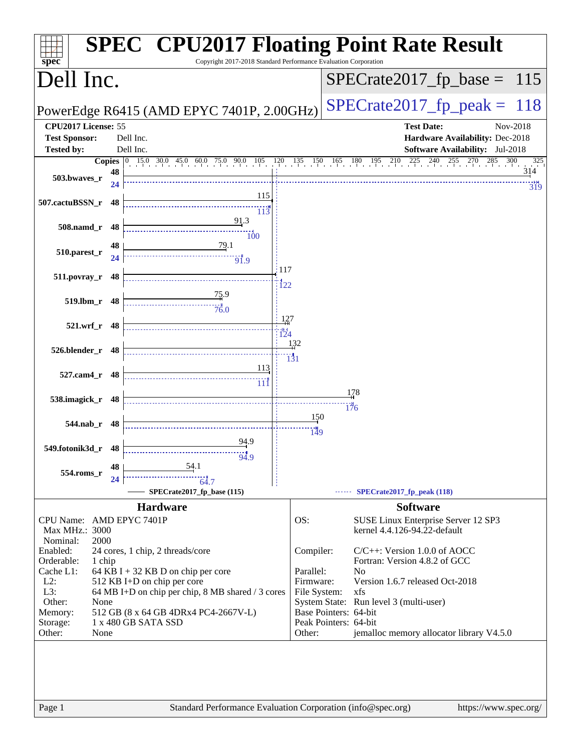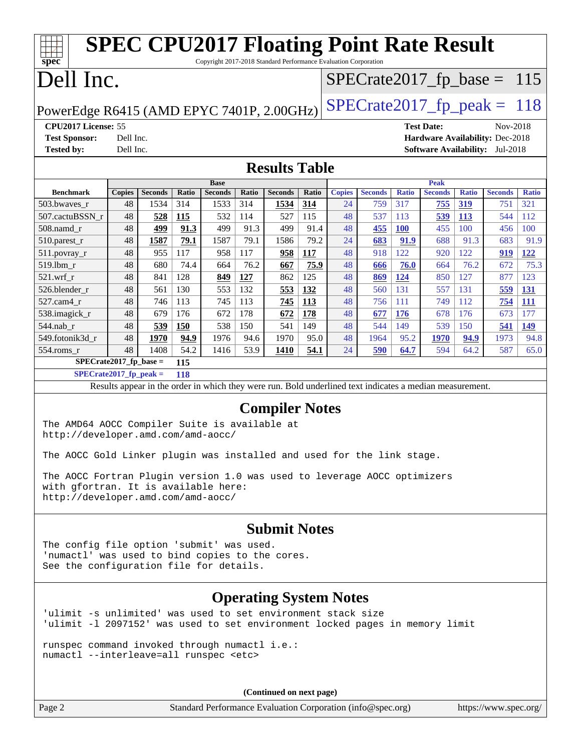| spec <sup>®</sup>                                                                                                                                                                                                                |                                                                            | <b>SPEC CPU2017 Floating Point Rate Result</b>                                                           |       |                               |       | Copyright 2017-2018 Standard Performance Evaluation Corporation |       |               |                |              |                               |              |                                        |              |
|----------------------------------------------------------------------------------------------------------------------------------------------------------------------------------------------------------------------------------|----------------------------------------------------------------------------|----------------------------------------------------------------------------------------------------------|-------|-------------------------------|-------|-----------------------------------------------------------------|-------|---------------|----------------|--------------|-------------------------------|--------------|----------------------------------------|--------------|
| Dell Inc.                                                                                                                                                                                                                        |                                                                            |                                                                                                          |       |                               |       |                                                                 |       |               |                |              |                               |              | $SPECrate2017_fp\_base = 115$          |              |
|                                                                                                                                                                                                                                  | $SPECrate2017_fp\_peak = 118$<br>PowerEdge R6415 (AMD EPYC 7401P, 2.00GHz) |                                                                                                          |       |                               |       |                                                                 |       |               |                |              |                               |              |                                        |              |
| CPU2017 License: 55                                                                                                                                                                                                              |                                                                            |                                                                                                          |       |                               |       |                                                                 |       |               |                |              | <b>Test Date:</b>             |              | Nov-2018                               |              |
| <b>Test Sponsor:</b>                                                                                                                                                                                                             | Dell Inc.                                                                  |                                                                                                          |       |                               |       |                                                                 |       |               |                |              |                               |              | Hardware Availability: Dec-2018        |              |
| <b>Tested by:</b>                                                                                                                                                                                                                | Dell Inc.                                                                  |                                                                                                          |       |                               |       |                                                                 |       |               |                |              |                               |              | <b>Software Availability:</b> Jul-2018 |              |
| <b>Results Table</b>                                                                                                                                                                                                             |                                                                            |                                                                                                          |       |                               |       |                                                                 |       |               |                |              |                               |              |                                        |              |
| <b>Benchmark</b>                                                                                                                                                                                                                 | <b>Copies</b>                                                              | <b>Seconds</b>                                                                                           | Ratio | <b>Base</b><br><b>Seconds</b> | Ratio | <b>Seconds</b>                                                  | Ratio | <b>Copies</b> | <b>Seconds</b> | <b>Ratio</b> | <b>Peak</b><br><b>Seconds</b> | <b>Ratio</b> | <b>Seconds</b>                         | <b>Ratio</b> |
| 503.bwaves_r                                                                                                                                                                                                                     | 48                                                                         | 1534                                                                                                     | 314   | 1533                          | 314   | 1534                                                            | 314   | 24            | 759            | 317          | <u>755</u>                    | 319          | 751                                    | 321          |
| 507.cactuBSSN_r                                                                                                                                                                                                                  | 48                                                                         | 528                                                                                                      | 115   | 532                           | 114   | 527                                                             | 115   | 48            | 537            | 113          | 539                           | 113          | 544                                    | 112          |
| 508.namd_r                                                                                                                                                                                                                       | 48                                                                         | 499                                                                                                      | 91.3  | 499                           | 91.3  | 499                                                             | 91.4  | 48            | 455            | <b>100</b>   | 455                           | 100          | 456                                    | 100          |
| $510.parest_r$                                                                                                                                                                                                                   | 48                                                                         | 1587                                                                                                     | 79.1  | 1587                          | 79.1  | 1586                                                            | 79.2  | 24            | 683            | 91.9         | 688                           | 91.3         | 683                                    | 91.9         |
| $511.povray_r$                                                                                                                                                                                                                   | 48                                                                         | 955                                                                                                      | 117   | 958                           | 117   | 958                                                             | 117   | 48            | 918            | 122          | 920                           | 122          | 919                                    | 122          |
| 519.1bm_r                                                                                                                                                                                                                        | 48                                                                         | 680                                                                                                      | 74.4  | 664                           | 76.2  | 667                                                             | 75.9  | 48            | 666            | 76.0         | 664                           | 76.2         | 672                                    | 75.3         |
| $521.wrf_r$                                                                                                                                                                                                                      | 48                                                                         | 841                                                                                                      | 128   | 849                           | 127   | 862                                                             | 125   | 48            | 869            | 124          | 850                           | 127          | 877                                    | 123          |
| 526.blender_r                                                                                                                                                                                                                    | 48                                                                         | 561                                                                                                      | 130   | 553                           | 132   | 553                                                             | 132   | 48            | 560            | 131          | 557                           | 131          | 559                                    | 131          |
| 527.cam4_r                                                                                                                                                                                                                       | 48                                                                         | 746                                                                                                      | 113   | 745                           | 113   | 745                                                             | 113   | 48            | 756            | 111          | 749                           | 112          | 754                                    | 111          |
| 538.imagick_r                                                                                                                                                                                                                    | 48                                                                         | 679                                                                                                      | 176   | 672                           | 178   | 672                                                             | 178   | 48            | 677            | 176          | 678                           | 176          | 673                                    | 177          |
| $544$ .nab_r                                                                                                                                                                                                                     | 48                                                                         | 539                                                                                                      | 150   | 538                           | 150   | 541                                                             | 149   | 48            | 544            | 149          | 539                           | 150          | 541                                    | 149          |
| 549.fotonik3d_r                                                                                                                                                                                                                  | 48                                                                         | 1970                                                                                                     | 94.9  | 1976                          | 94.6  | 1970                                                            | 95.0  | 48            | 1964           | 95.2         | 1970                          | 94.9         | 1973                                   | 94.8         |
| 554.roms_r                                                                                                                                                                                                                       | 48                                                                         | 1408                                                                                                     | 54.2  | 1416                          | 53.9  | 1410                                                            | 54.1  | 24            | 590            | 64.7         | 594                           | 64.2         | 587                                    | 65.0         |
| SPECrate2017_fp_base =                                                                                                                                                                                                           |                                                                            |                                                                                                          | 115   |                               |       |                                                                 |       |               |                |              |                               |              |                                        |              |
| $SPECrate2017_fp\_peak =$                                                                                                                                                                                                        |                                                                            |                                                                                                          | 118   |                               |       |                                                                 |       |               |                |              |                               |              |                                        |              |
|                                                                                                                                                                                                                                  |                                                                            | Results appear in the order in which they were run. Bold underlined text indicates a median measurement. |       |                               |       |                                                                 |       |               |                |              |                               |              |                                        |              |
| <b>Compiler Notes</b><br>The AMD64 AOCC Compiler Suite is available at<br>http://developer.amd.com/amd-aocc/                                                                                                                     |                                                                            |                                                                                                          |       |                               |       |                                                                 |       |               |                |              |                               |              |                                        |              |
|                                                                                                                                                                                                                                  |                                                                            |                                                                                                          |       |                               |       |                                                                 |       |               |                |              |                               |              |                                        |              |
| The AOCC Gold Linker plugin was installed and used for the link stage.<br>The AOCC Fortran Plugin version 1.0 was used to leverage AOCC optimizers<br>with gfortran. It is available here:<br>http://developer.amd.com/amd-aocc/ |                                                                            |                                                                                                          |       |                               |       |                                                                 |       |               |                |              |                               |              |                                        |              |
|                                                                                                                                                                                                                                  |                                                                            |                                                                                                          |       |                               |       | <b>Submit Notes</b>                                             |       |               |                |              |                               |              |                                        |              |
| The config file option 'submit' was used.<br>'numactl' was used to bind copies to the cores.<br>See the configuration file for details.                                                                                          |                                                                            |                                                                                                          |       |                               |       |                                                                 |       |               |                |              |                               |              |                                        |              |
| <b>Operating System Notes</b>                                                                                                                                                                                                    |                                                                            |                                                                                                          |       |                               |       |                                                                 |       |               |                |              |                               |              |                                        |              |
| 'ulimit -s unlimited' was used to set environment stack size<br>'ulimit -1 2097152' was used to set environment locked pages in memory limit                                                                                     |                                                                            |                                                                                                          |       |                               |       |                                                                 |       |               |                |              |                               |              |                                        |              |
| runspec command invoked through numactl i.e.:<br>numactl --interleave=all runspec <etc></etc>                                                                                                                                    |                                                                            |                                                                                                          |       |                               |       |                                                                 |       |               |                |              |                               |              |                                        |              |
|                                                                                                                                                                                                                                  |                                                                            |                                                                                                          |       |                               |       | (Continued on next page)                                        |       |               |                |              |                               |              |                                        |              |
| Page 2                                                                                                                                                                                                                           |                                                                            |                                                                                                          |       |                               |       | Standard Performance Evaluation Corporation (info@spec.org)     |       |               |                |              |                               |              | https://www.spec.org/                  |              |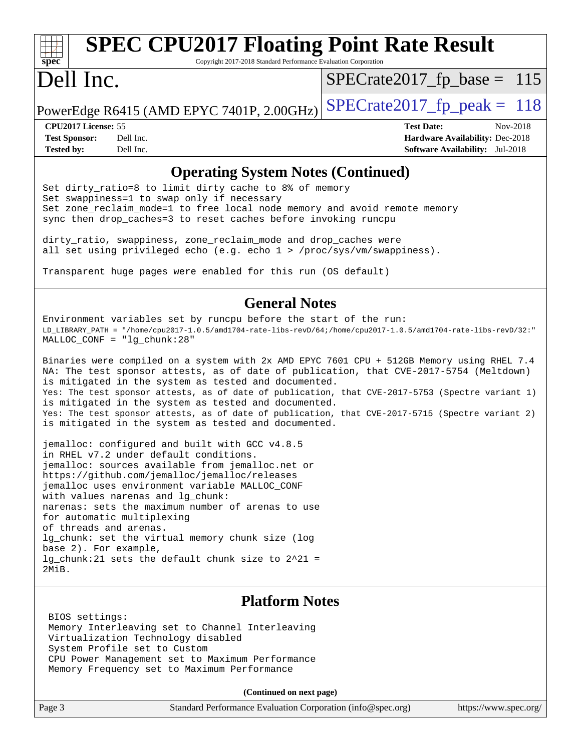# **[spec](http://www.spec.org/)**

## **[SPEC CPU2017 Floating Point Rate Result](http://www.spec.org/auto/cpu2017/Docs/result-fields.html#SPECCPU2017FloatingPointRateResult)**

Copyright 2017-2018 Standard Performance Evaluation Corporation

## Dell Inc.

 $SPECTate2017_fp\_base = 115$ 

PowerEdge R6415 (AMD EPYC 7401P, 2.00GHz)  $\text{SPECrate2017\_fp\_peak} = 118$ 

**[CPU2017 License:](http://www.spec.org/auto/cpu2017/Docs/result-fields.html#CPU2017License)** 55 **[Test Date:](http://www.spec.org/auto/cpu2017/Docs/result-fields.html#TestDate)** Nov-2018 **[Test Sponsor:](http://www.spec.org/auto/cpu2017/Docs/result-fields.html#TestSponsor)** Dell Inc. **[Hardware Availability:](http://www.spec.org/auto/cpu2017/Docs/result-fields.html#HardwareAvailability)** Dec-2018 **[Tested by:](http://www.spec.org/auto/cpu2017/Docs/result-fields.html#Testedby)** Dell Inc. **[Software Availability:](http://www.spec.org/auto/cpu2017/Docs/result-fields.html#SoftwareAvailability)** Jul-2018

#### **[Operating System Notes \(Continued\)](http://www.spec.org/auto/cpu2017/Docs/result-fields.html#OperatingSystemNotes)**

Set dirty\_ratio=8 to limit dirty cache to 8% of memory Set swappiness=1 to swap only if necessary Set zone\_reclaim\_mode=1 to free local node memory and avoid remote memory sync then drop\_caches=3 to reset caches before invoking runcpu

dirty\_ratio, swappiness, zone\_reclaim\_mode and drop\_caches were all set using privileged echo (e.g. echo 1 > /proc/sys/vm/swappiness).

Transparent huge pages were enabled for this run (OS default)

#### **[General Notes](http://www.spec.org/auto/cpu2017/Docs/result-fields.html#GeneralNotes)**

Environment variables set by runcpu before the start of the run: LD\_LIBRARY\_PATH = "/home/cpu2017-1.0.5/amd1704-rate-libs-revD/64;/home/cpu2017-1.0.5/amd1704-rate-libs-revD/32:" MALLOC\_CONF = "lg\_chunk:28"

Binaries were compiled on a system with 2x AMD EPYC 7601 CPU + 512GB Memory using RHEL 7.4 NA: The test sponsor attests, as of date of publication, that CVE-2017-5754 (Meltdown) is mitigated in the system as tested and documented. Yes: The test sponsor attests, as of date of publication, that CVE-2017-5753 (Spectre variant 1) is mitigated in the system as tested and documented. Yes: The test sponsor attests, as of date of publication, that CVE-2017-5715 (Spectre variant 2) is mitigated in the system as tested and documented.

jemalloc: configured and built with GCC v4.8.5 in RHEL v7.2 under default conditions. jemalloc: sources available from jemalloc.net or <https://github.com/jemalloc/jemalloc/releases> jemalloc uses environment variable MALLOC\_CONF with values narenas and lg\_chunk: narenas: sets the maximum number of arenas to use for automatic multiplexing of threads and arenas. lg chunk: set the virtual memory chunk size (log base 2). For example, lg\_chunk:21 sets the default chunk size to 2^21 = 2MiB.

#### **[Platform Notes](http://www.spec.org/auto/cpu2017/Docs/result-fields.html#PlatformNotes)**

 BIOS settings: Memory Interleaving set to Channel Interleaving Virtualization Technology disabled System Profile set to Custom CPU Power Management set to Maximum Performance Memory Frequency set to Maximum Performance

**(Continued on next page)**

| Page 3 | Standard Performance Evaluation Corporation (info@spec.org) | https://www.spec.org/ |
|--------|-------------------------------------------------------------|-----------------------|
|--------|-------------------------------------------------------------|-----------------------|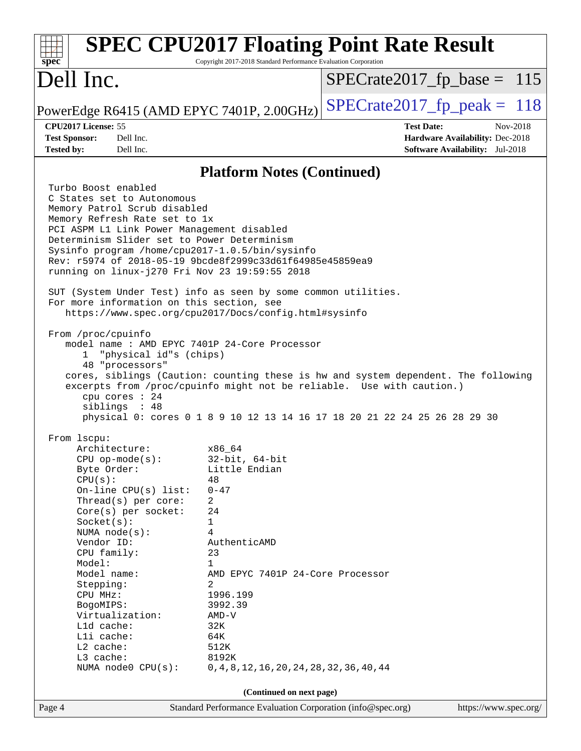| <b>SPEC CPU2017 Floating Point Rate Result</b><br>spec                                                                                                      | Copyright 2017-2018 Standard Performance Evaluation Corporation |                                                                                  |
|-------------------------------------------------------------------------------------------------------------------------------------------------------------|-----------------------------------------------------------------|----------------------------------------------------------------------------------|
| Dell Inc.                                                                                                                                                   |                                                                 | $SPECrate2017_fp\_base = 115$                                                    |
| PowerEdge R6415 (AMD EPYC 7401P, 2.00GHz)                                                                                                                   |                                                                 | $SPECrate2017_fp\_peak = 118$                                                    |
| CPU2017 License: 55                                                                                                                                         |                                                                 | <b>Test Date:</b><br>Nov-2018                                                    |
| <b>Test Sponsor:</b><br>Dell Inc.<br><b>Tested by:</b><br>Dell Inc.                                                                                         |                                                                 | <b>Hardware Availability: Dec-2018</b><br><b>Software Availability:</b> Jul-2018 |
|                                                                                                                                                             |                                                                 |                                                                                  |
|                                                                                                                                                             | <b>Platform Notes (Continued)</b>                               |                                                                                  |
| Turbo Boost enabled                                                                                                                                         |                                                                 |                                                                                  |
| C States set to Autonomous<br>Memory Patrol Scrub disabled                                                                                                  |                                                                 |                                                                                  |
| Memory Refresh Rate set to 1x                                                                                                                               |                                                                 |                                                                                  |
| PCI ASPM L1 Link Power Management disabled                                                                                                                  |                                                                 |                                                                                  |
| Determinism Slider set to Power Determinism                                                                                                                 |                                                                 |                                                                                  |
| Sysinfo program /home/cpu2017-1.0.5/bin/sysinfo<br>Rev: r5974 of 2018-05-19 9bcde8f2999c33d61f64985e45859ea9                                                |                                                                 |                                                                                  |
| running on linux-j270 Fri Nov 23 19:59:55 2018                                                                                                              |                                                                 |                                                                                  |
|                                                                                                                                                             |                                                                 |                                                                                  |
| SUT (System Under Test) info as seen by some common utilities.<br>For more information on this section, see                                                 |                                                                 |                                                                                  |
| https://www.spec.org/cpu2017/Docs/config.html#sysinfo                                                                                                       |                                                                 |                                                                                  |
|                                                                                                                                                             |                                                                 |                                                                                  |
| From /proc/cpuinfo<br>model name: AMD EPYC 7401P 24-Core Processor                                                                                          |                                                                 |                                                                                  |
| "physical id"s (chips)<br>$\mathbf{1}$                                                                                                                      |                                                                 |                                                                                  |
| 48 "processors"                                                                                                                                             |                                                                 |                                                                                  |
| cores, siblings (Caution: counting these is hw and system dependent. The following<br>excerpts from /proc/cpuinfo might not be reliable. Use with caution.) |                                                                 |                                                                                  |
| cpu cores : 24                                                                                                                                              |                                                                 |                                                                                  |
| siblings : 48                                                                                                                                               |                                                                 |                                                                                  |
| physical 0: cores 0 1 8 9 10 12 13 14 16 17 18 20 21 22 24 25 26 28 29 30                                                                                   |                                                                 |                                                                                  |
| From 1scpu:                                                                                                                                                 |                                                                 |                                                                                  |
| Architecture:                                                                                                                                               | x86 64                                                          |                                                                                  |
| $CPU$ op-mode(s):                                                                                                                                           | $32$ -bit, $64$ -bit                                            |                                                                                  |
| Byte Order:                                                                                                                                                 | Little Endian                                                   |                                                                                  |
| CPU(s):<br>On-line $CPU(s)$ list:                                                                                                                           | 48<br>$0 - 47$                                                  |                                                                                  |
| Thread(s) per core:                                                                                                                                         | 2                                                               |                                                                                  |
| Core(s) per socket:                                                                                                                                         | 24                                                              |                                                                                  |
| Socket(s):<br>NUMA $node(s):$                                                                                                                               | 1<br>4                                                          |                                                                                  |
| Vendor ID:                                                                                                                                                  | AuthenticAMD                                                    |                                                                                  |
| CPU family:                                                                                                                                                 | 23                                                              |                                                                                  |
| Model:                                                                                                                                                      | $\mathbf 1$                                                     |                                                                                  |
| Model name:<br>Stepping:                                                                                                                                    | AMD EPYC 7401P 24-Core Processor<br>2                           |                                                                                  |
| CPU MHz:                                                                                                                                                    | 1996.199                                                        |                                                                                  |
| BogoMIPS:                                                                                                                                                   | 3992.39                                                         |                                                                                  |
| Virtualization:                                                                                                                                             | $AMD-V$<br>32K                                                  |                                                                                  |
| Lld cache:<br>Lli cache:                                                                                                                                    | 64K                                                             |                                                                                  |
| L2 cache:                                                                                                                                                   | 512K                                                            |                                                                                  |
| L3 cache:                                                                                                                                                   | 8192K                                                           |                                                                                  |
| NUMA node0 CPU(s):                                                                                                                                          | 0, 4, 8, 12, 16, 20, 24, 28, 32, 36, 40, 44                     |                                                                                  |
|                                                                                                                                                             | (Continued on next page)                                        |                                                                                  |
| Page 4                                                                                                                                                      | Standard Performance Evaluation Corporation (info@spec.org)     | https://www.spec.org/                                                            |
|                                                                                                                                                             |                                                                 |                                                                                  |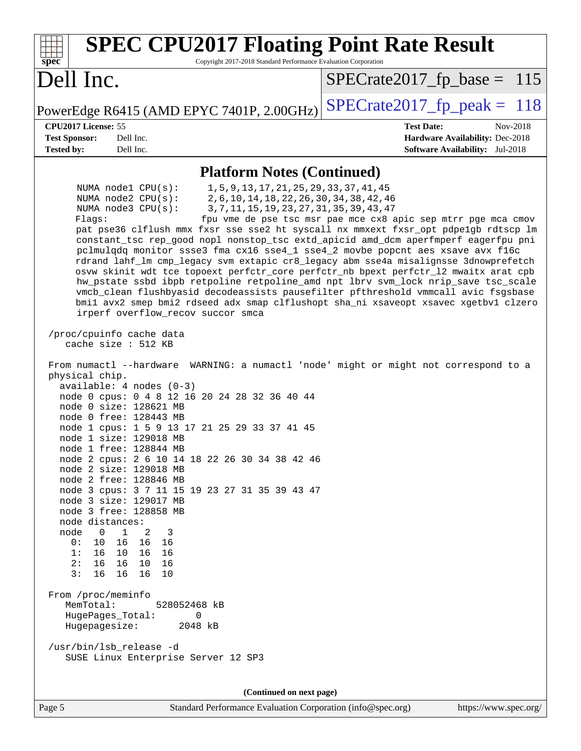| <b>SPEC CPU2017 Floating Point Rate Result</b><br>Spec<br>Copyright 2017-2018 Standard Performance Evaluation Corporation                                                                                                                                                                                                                                                                                                                                                                                                                                                                                                                                                                                                                                                                                                                                                                                                                                                                                                                                                                                                                                                                                                                                                                                                                                                                                                                                                                                                                                                                                                                                                                                                                                                                                                                                                                                                                                                                                                                       |                                                                    |
|-------------------------------------------------------------------------------------------------------------------------------------------------------------------------------------------------------------------------------------------------------------------------------------------------------------------------------------------------------------------------------------------------------------------------------------------------------------------------------------------------------------------------------------------------------------------------------------------------------------------------------------------------------------------------------------------------------------------------------------------------------------------------------------------------------------------------------------------------------------------------------------------------------------------------------------------------------------------------------------------------------------------------------------------------------------------------------------------------------------------------------------------------------------------------------------------------------------------------------------------------------------------------------------------------------------------------------------------------------------------------------------------------------------------------------------------------------------------------------------------------------------------------------------------------------------------------------------------------------------------------------------------------------------------------------------------------------------------------------------------------------------------------------------------------------------------------------------------------------------------------------------------------------------------------------------------------------------------------------------------------------------------------------------------------|--------------------------------------------------------------------|
| Dell Inc.                                                                                                                                                                                                                                                                                                                                                                                                                                                                                                                                                                                                                                                                                                                                                                                                                                                                                                                                                                                                                                                                                                                                                                                                                                                                                                                                                                                                                                                                                                                                                                                                                                                                                                                                                                                                                                                                                                                                                                                                                                       | $SPECrate2017_fp\_base = 115$                                      |
| PowerEdge R6415 (AMD EPYC 7401P, 2.00GHz)                                                                                                                                                                                                                                                                                                                                                                                                                                                                                                                                                                                                                                                                                                                                                                                                                                                                                                                                                                                                                                                                                                                                                                                                                                                                                                                                                                                                                                                                                                                                                                                                                                                                                                                                                                                                                                                                                                                                                                                                       | $SPECrate2017fp peak = 118$                                        |
| CPU2017 License: 55                                                                                                                                                                                                                                                                                                                                                                                                                                                                                                                                                                                                                                                                                                                                                                                                                                                                                                                                                                                                                                                                                                                                                                                                                                                                                                                                                                                                                                                                                                                                                                                                                                                                                                                                                                                                                                                                                                                                                                                                                             | <b>Test Date:</b><br>Nov-2018                                      |
| <b>Test Sponsor:</b><br>Dell Inc.<br><b>Tested by:</b><br>Dell Inc.                                                                                                                                                                                                                                                                                                                                                                                                                                                                                                                                                                                                                                                                                                                                                                                                                                                                                                                                                                                                                                                                                                                                                                                                                                                                                                                                                                                                                                                                                                                                                                                                                                                                                                                                                                                                                                                                                                                                                                             | Hardware Availability: Dec-2018<br>Software Availability: Jul-2018 |
|                                                                                                                                                                                                                                                                                                                                                                                                                                                                                                                                                                                                                                                                                                                                                                                                                                                                                                                                                                                                                                                                                                                                                                                                                                                                                                                                                                                                                                                                                                                                                                                                                                                                                                                                                                                                                                                                                                                                                                                                                                                 |                                                                    |
| <b>Platform Notes (Continued)</b><br>1, 5, 9, 13, 17, 21, 25, 29, 33, 37, 41, 45<br>NUMA $node1$ $CPU(s)$ :<br>NUMA $node2$ $CPU(s):$<br>2, 6, 10, 14, 18, 22, 26, 30, 34, 38, 42, 46<br>NUMA $node3$ $CPU(s):$<br>3, 7, 11, 15, 19, 23, 27, 31, 35, 39, 43, 47<br>Flaqs:<br>pat pse36 clflush mmx fxsr sse sse2 ht syscall nx mmxext fxsr_opt pdpelgb rdtscp lm<br>constant_tsc rep_good nopl nonstop_tsc extd_apicid amd_dcm aperfmperf eagerfpu pni<br>pclmulqdq monitor ssse3 fma cx16 sse4_1 sse4_2 movbe popcnt aes xsave avx f16c<br>rdrand lahf_lm cmp_legacy svm extapic cr8_legacy abm sse4a misalignsse 3dnowprefetch<br>osvw skinit wdt tce topoext perfctr_core perfctr_nb bpext perfctr_12 mwaitx arat cpb<br>hw_pstate ssbd ibpb retpoline retpoline_amd npt lbrv svm_lock nrip_save tsc_scale<br>vmcb_clean flushbyasid decodeassists pausefilter pfthreshold vmmcall avic fsgsbase<br>bmil avx2 smep bmi2 rdseed adx smap clflushopt sha_ni xsaveopt xsavec xgetbv1 clzero<br>irperf overflow_recov succor smca<br>/proc/cpuinfo cache data<br>cache size : 512 KB<br>From numactl --hardware WARNING: a numactl 'node' might or might not correspond to a<br>physical chip.<br>$available: 4 nodes (0-3)$<br>node 0 cpus: 0 4 8 12 16 20 24 28 32 36 40 44<br>node 0 size: 128621 MB<br>node 0 free: 128443 MB<br>node 1 cpus: 1 5 9 13 17 21 25 29 33 37 41 45<br>node 1 size: 129018 MB<br>node 1 free: 128844 MB<br>node 2 cpus: 2 6 10 14 18 22 26 30 34 38 42 46<br>node 2 size: 129018 MB<br>node 2 free: 128846 MB<br>node 3 cpus: 3 7 11 15 19 23 27 31 35 39 43 47<br>node 3 size: 129017 MB<br>node 3 free: 128858 MB<br>node distances:<br>node<br>$\mathbf{1}$<br>$\overline{0}$<br>2<br>3<br>0:<br>10<br>16<br>16<br>16<br>10 16<br>1:<br>16<br>- 16<br>2:<br>16 10<br>16<br>16<br>3:<br>16 16<br>16<br>10<br>From /proc/meminfo<br>MemTotal:<br>528052468 kB<br>HugePages_Total:<br>0<br>Hugepagesize:<br>2048 kB<br>/usr/bin/lsb_release -d<br>SUSE Linux Enterprise Server 12 SP3<br>(Continued on next page) | fpu vme de pse tsc msr pae mce cx8 apic sep mtrr pge mca cmov      |
|                                                                                                                                                                                                                                                                                                                                                                                                                                                                                                                                                                                                                                                                                                                                                                                                                                                                                                                                                                                                                                                                                                                                                                                                                                                                                                                                                                                                                                                                                                                                                                                                                                                                                                                                                                                                                                                                                                                                                                                                                                                 |                                                                    |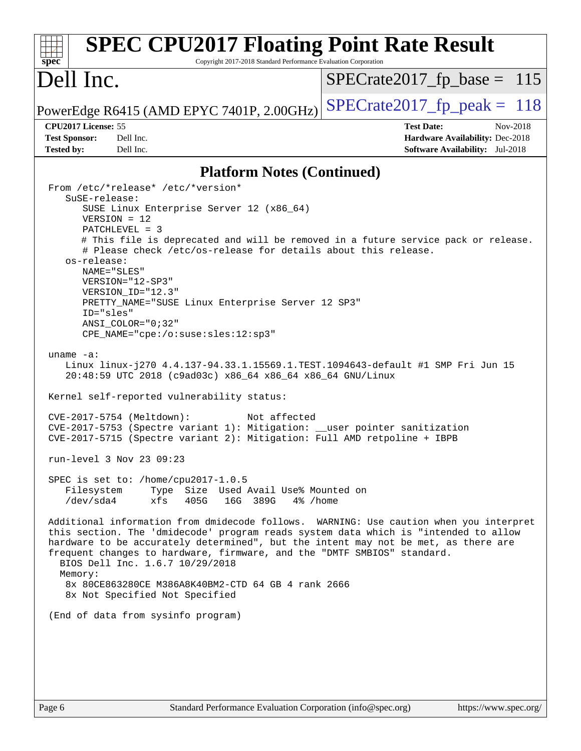| <b>SPEC CPU2017 Floating Point Rate Result</b><br>spec<br>Copyright 2017-2018 Standard Performance Evaluation Corporation                                                                                                                                                                                                                                                                                                                                                                                                                                                                                                                                                                                                                                                                                                                                                                                                                                                                                                                                                                                                                                                                                                                                                                                                                                                                                                                                                                                                                                                                                                                        |                                                                                                            |
|--------------------------------------------------------------------------------------------------------------------------------------------------------------------------------------------------------------------------------------------------------------------------------------------------------------------------------------------------------------------------------------------------------------------------------------------------------------------------------------------------------------------------------------------------------------------------------------------------------------------------------------------------------------------------------------------------------------------------------------------------------------------------------------------------------------------------------------------------------------------------------------------------------------------------------------------------------------------------------------------------------------------------------------------------------------------------------------------------------------------------------------------------------------------------------------------------------------------------------------------------------------------------------------------------------------------------------------------------------------------------------------------------------------------------------------------------------------------------------------------------------------------------------------------------------------------------------------------------------------------------------------------------|------------------------------------------------------------------------------------------------------------|
| Dell Inc.                                                                                                                                                                                                                                                                                                                                                                                                                                                                                                                                                                                                                                                                                                                                                                                                                                                                                                                                                                                                                                                                                                                                                                                                                                                                                                                                                                                                                                                                                                                                                                                                                                        | $SPECrate2017_fp\_base = 115$                                                                              |
| PowerEdge R6415 (AMD EPYC 7401P, 2.00GHz)                                                                                                                                                                                                                                                                                                                                                                                                                                                                                                                                                                                                                                                                                                                                                                                                                                                                                                                                                                                                                                                                                                                                                                                                                                                                                                                                                                                                                                                                                                                                                                                                        | $SPECrate2017fp peak = 118$                                                                                |
| CPU2017 License: 55<br><b>Test Sponsor:</b><br>Dell Inc.<br><b>Tested by:</b><br>Dell Inc.                                                                                                                                                                                                                                                                                                                                                                                                                                                                                                                                                                                                                                                                                                                                                                                                                                                                                                                                                                                                                                                                                                                                                                                                                                                                                                                                                                                                                                                                                                                                                       | <b>Test Date:</b><br>Nov-2018<br><b>Hardware Availability: Dec-2018</b><br>Software Availability: Jul-2018 |
| <b>Platform Notes (Continued)</b>                                                                                                                                                                                                                                                                                                                                                                                                                                                                                                                                                                                                                                                                                                                                                                                                                                                                                                                                                                                                                                                                                                                                                                                                                                                                                                                                                                                                                                                                                                                                                                                                                |                                                                                                            |
| From /etc/*release* /etc/*version*<br>SuSE-release:<br>SUSE Linux Enterprise Server 12 (x86_64)<br>$VERSION = 12$<br>$PATCHLEVEL = 3$<br># This file is deprecated and will be removed in a future service pack or release.<br># Please check /etc/os-release for details about this release.<br>os-release:<br>NAME="SLES"<br>VERSION="12-SP3"<br>VERSION_ID="12.3"<br>PRETTY_NAME="SUSE Linux Enterprise Server 12 SP3"<br>ID="sles"<br>$ANSI$ _COLOR=" $0:32$ "<br>$CPE\_NAME = "cpe://o:suse: sles:12:sp3"$<br>uname $-a$ :<br>Linux linux-j270 4.4.137-94.33.1.15569.1.TEST.1094643-default #1 SMP Fri Jun 15<br>20:48:59 UTC 2018 (c9ad03c) x86_64 x86_64 x86_64 GNU/Linux<br>Kernel self-reported vulnerability status:<br>CVE-2017-5754 (Meltdown):<br>Not affected<br>CVE-2017-5753 (Spectre variant 1): Mitigation: __user pointer sanitization<br>CVE-2017-5715 (Spectre variant 2): Mitigation: Full AMD retpoline + IBPB<br>run-level 3 Nov 23 09:23<br>SPEC is set to: /home/cpu2017-1.0.5<br>Type Size Used Avail Use% Mounted on<br>Filesystem<br>/dev/sda4<br>xfs<br>405G<br>16G 389G<br>4% /home<br>Additional information from dmidecode follows. WARNING: Use caution when you interpret<br>this section. The 'dmidecode' program reads system data which is "intended to allow<br>hardware to be accurately determined", but the intent may not be met, as there are<br>frequent changes to hardware, firmware, and the "DMTF SMBIOS" standard.<br>BIOS Dell Inc. 1.6.7 10/29/2018<br>Memory:<br>8x 80CE863280CE M386A8K40BM2-CTD 64 GB 4 rank 2666<br>8x Not Specified Not Specified<br>(End of data from sysinfo program) |                                                                                                            |
|                                                                                                                                                                                                                                                                                                                                                                                                                                                                                                                                                                                                                                                                                                                                                                                                                                                                                                                                                                                                                                                                                                                                                                                                                                                                                                                                                                                                                                                                                                                                                                                                                                                  |                                                                                                            |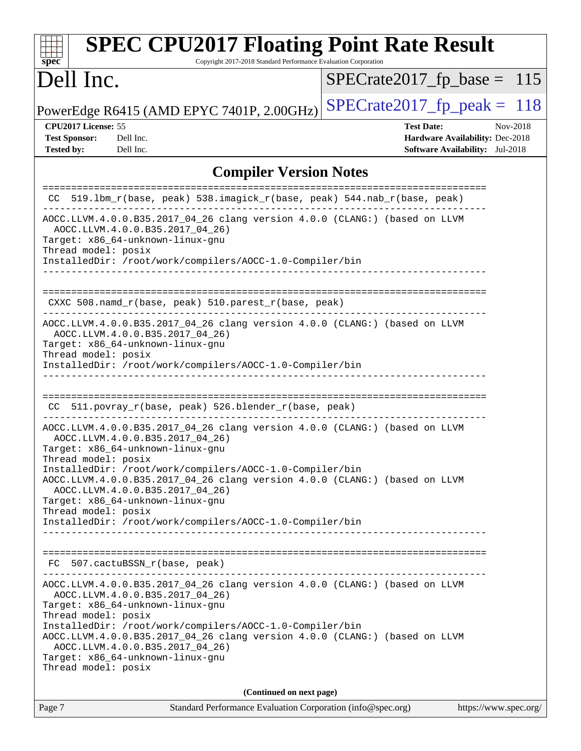| <b>SPEC CPU2017 Floating Point Rate Result</b><br>Copyright 2017-2018 Standard Performance Evaluation Corporation<br>spec <sup>®</sup>                                                                                                                                                                                                                                                                           |                                                                                                            |
|------------------------------------------------------------------------------------------------------------------------------------------------------------------------------------------------------------------------------------------------------------------------------------------------------------------------------------------------------------------------------------------------------------------|------------------------------------------------------------------------------------------------------------|
| Dell Inc.                                                                                                                                                                                                                                                                                                                                                                                                        | $SPECrate2017_fp\_base = 115$                                                                              |
| PowerEdge R6415 (AMD EPYC 7401P, 2.00GHz)                                                                                                                                                                                                                                                                                                                                                                        | $SPECTate2017$ _fp_peak = 118                                                                              |
| CPU2017 License: 55<br><b>Test Sponsor:</b><br>Dell Inc.<br><b>Tested by:</b><br>Dell Inc.                                                                                                                                                                                                                                                                                                                       | <b>Test Date:</b><br>Nov-2018<br>Hardware Availability: Dec-2018<br><b>Software Availability:</b> Jul-2018 |
| <b>Compiler Version Notes</b>                                                                                                                                                                                                                                                                                                                                                                                    |                                                                                                            |
| CC 519.1bm_r(base, peak) 538.imagick_r(base, peak) 544.nab_r(base, peak)                                                                                                                                                                                                                                                                                                                                         |                                                                                                            |
| AOCC.LLVM.4.0.0.B35.2017_04_26 clang version 4.0.0 (CLANG:) (based on LLVM<br>AOCC.LLVM.4.0.0.B35.2017_04_26)<br>Target: x86_64-unknown-linux-gnu<br>Thread model: posix<br>InstalledDir: /root/work/compilers/AOCC-1.0-Compiler/bin<br>______________________________                                                                                                                                           |                                                                                                            |
| CXXC 508.namd_r(base, peak) 510.parest_r(base, peak)                                                                                                                                                                                                                                                                                                                                                             |                                                                                                            |
| AOCC.LLVM.4.0.0.B35.2017_04_26 clang version 4.0.0 (CLANG:) (based on LLVM<br>AOCC.LLVM.4.0.0.B35.2017_04_26)<br>Target: x86_64-unknown-linux-gnu<br>Thread model: posix<br>InstalledDir: /root/work/compilers/AOCC-1.0-Compiler/bin                                                                                                                                                                             |                                                                                                            |
| 511.povray_r(base, peak) 526.blender_r(base, peak)<br>CC.                                                                                                                                                                                                                                                                                                                                                        |                                                                                                            |
| AOCC.LLVM.4.0.0.B35.2017_04_26 clang version 4.0.0 (CLANG:) (based on LLVM<br>AOCC.LLVM.4.0.0.B35.2017_04_26)<br>Target: x86_64-unknown-linux-gnu<br>Thread model: posix                                                                                                                                                                                                                                         |                                                                                                            |
| InstalledDir: /root/work/compilers/AOCC-1.0-Compiler/bin<br>AOCC.LLVM.4.0.0.B35.2017_04_26 clang version 4.0.0 (CLANG:) (based on LLVM<br>AOCC.LLVM.4.0.0.B35.2017 04 26)<br>Target: x86_64-unknown-linux-gnu                                                                                                                                                                                                    |                                                                                                            |
| Thread model: posix<br>InstalledDir: /root/work/compilers/AOCC-1.0-Compiler/bin                                                                                                                                                                                                                                                                                                                                  |                                                                                                            |
| FC 507.cactuBSSN_r(base, peak)<br>------------------------------                                                                                                                                                                                                                                                                                                                                                 |                                                                                                            |
| AOCC.LLVM.4.0.0.B35.2017_04_26 clang version 4.0.0 (CLANG:) (based on LLVM<br>AOCC.LLVM.4.0.0.B35.2017_04_26)<br>Target: x86_64-unknown-linux-gnu<br>Thread model: posix<br>InstalledDir: /root/work/compilers/AOCC-1.0-Compiler/bin<br>AOCC.LLVM.4.0.0.B35.2017_04_26 clang version 4.0.0 (CLANG:) (based on LLVM<br>AOCC.LLVM.4.0.0.B35.2017_04_26)<br>Target: x86_64-unknown-linux-gnu<br>Thread model: posix |                                                                                                            |
| (Continued on next page)                                                                                                                                                                                                                                                                                                                                                                                         |                                                                                                            |
| Page 7<br>Standard Performance Evaluation Corporation (info@spec.org)                                                                                                                                                                                                                                                                                                                                            | https://www.spec.org/                                                                                      |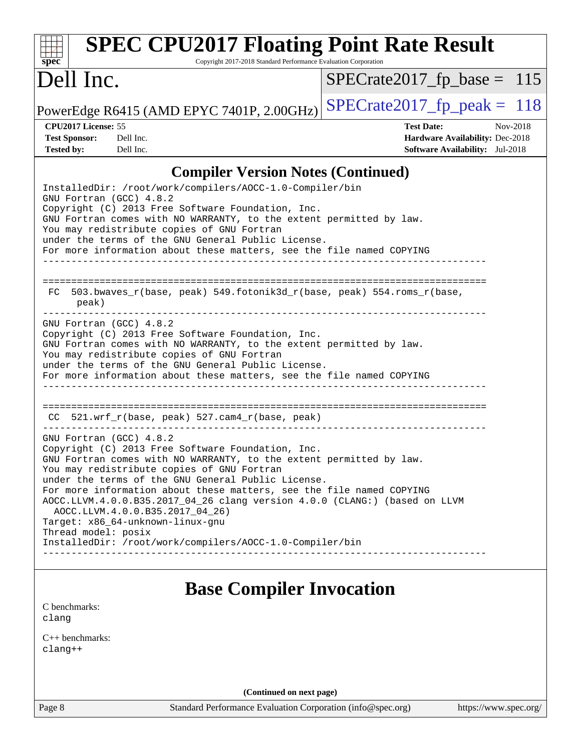| <b>SPEC CPU2017 Floating Point Rate Result</b><br>spec<br>Copyright 2017-2018 Standard Performance Evaluation Corporation                                                                                                                                                                                                                                                                                                                                                                                                                                               |                                                                                                            |
|-------------------------------------------------------------------------------------------------------------------------------------------------------------------------------------------------------------------------------------------------------------------------------------------------------------------------------------------------------------------------------------------------------------------------------------------------------------------------------------------------------------------------------------------------------------------------|------------------------------------------------------------------------------------------------------------|
| Dell Inc.                                                                                                                                                                                                                                                                                                                                                                                                                                                                                                                                                               | $SPECrate2017_fp\_base = 115$                                                                              |
| PowerEdge R6415 (AMD EPYC 7401P, 2.00GHz)                                                                                                                                                                                                                                                                                                                                                                                                                                                                                                                               | $SPECTate2017$ _fp_peak = 118                                                                              |
| CPU2017 License: 55<br><b>Test Sponsor:</b><br>Dell Inc.<br><b>Tested by:</b><br>Dell Inc.                                                                                                                                                                                                                                                                                                                                                                                                                                                                              | <b>Test Date:</b><br>Nov-2018<br>Hardware Availability: Dec-2018<br><b>Software Availability:</b> Jul-2018 |
| <b>Compiler Version Notes (Continued)</b><br>InstalledDir: /root/work/compilers/AOCC-1.0-Compiler/bin                                                                                                                                                                                                                                                                                                                                                                                                                                                                   |                                                                                                            |
| GNU Fortran (GCC) 4.8.2<br>Copyright (C) 2013 Free Software Foundation, Inc.<br>GNU Fortran comes with NO WARRANTY, to the extent permitted by law.<br>You may redistribute copies of GNU Fortran<br>under the terms of the GNU General Public License.<br>For more information about these matters, see the file named COPYING                                                                                                                                                                                                                                         |                                                                                                            |
| 503.bwaves_r(base, peak) 549.fotonik3d_r(base, peak) 554.roms_r(base,<br>FC.<br>peak)                                                                                                                                                                                                                                                                                                                                                                                                                                                                                   |                                                                                                            |
| GNU Fortran (GCC) 4.8.2<br>Copyright (C) 2013 Free Software Foundation, Inc.<br>GNU Fortran comes with NO WARRANTY, to the extent permitted by law.<br>You may redistribute copies of GNU Fortran<br>under the terms of the GNU General Public License.<br>For more information about these matters, see the file named COPYING                                                                                                                                                                                                                                         |                                                                                                            |
| $521.wrf_r(base, peak) 527.cam4_r(base, peak)$<br>CC.                                                                                                                                                                                                                                                                                                                                                                                                                                                                                                                   |                                                                                                            |
| GNU Fortran (GCC) 4.8.2<br>Copyright (C) 2013 Free Software Foundation, Inc.<br>GNU Fortran comes with NO WARRANTY, to the extent permitted by law.<br>You may redistribute copies of GNU Fortran<br>under the terms of the GNU General Public License.<br>For more information about these matters, see the file named COPYING<br>AOCC.LLVM.4.0.0.B35.2017_04_26 clang version 4.0.0 (CLANG:) (based on LLVM<br>AOCC.LLVM.4.0.0.B35.2017 04 26)<br>Target: x86_64-unknown-linux-gnu<br>Thread model: posix<br>InstalledDir: /root/work/compilers/AOCC-1.0-Compiler/bin |                                                                                                            |
| <b>Base Compiler Invocation</b>                                                                                                                                                                                                                                                                                                                                                                                                                                                                                                                                         |                                                                                                            |
| C benchmarks:<br>clang                                                                                                                                                                                                                                                                                                                                                                                                                                                                                                                                                  |                                                                                                            |
| $C_{++}$ benchmarks:                                                                                                                                                                                                                                                                                                                                                                                                                                                                                                                                                    |                                                                                                            |

[clang++](http://www.spec.org/cpu2017/results/res2018q4/cpu2017-20181126-09833.flags.html#user_CXXbase_Fclang3_57a48582e5be507d19b2527b3e7d4f85d9b8669ffc9a8a0dbb9bcf949a918a58bbab411e0c4d14a3922022a3e425a90db94042683824c1806feff4324ca1000d)

**(Continued on next page)**

Page 8 Standard Performance Evaluation Corporation [\(info@spec.org\)](mailto:info@spec.org) <https://www.spec.org/>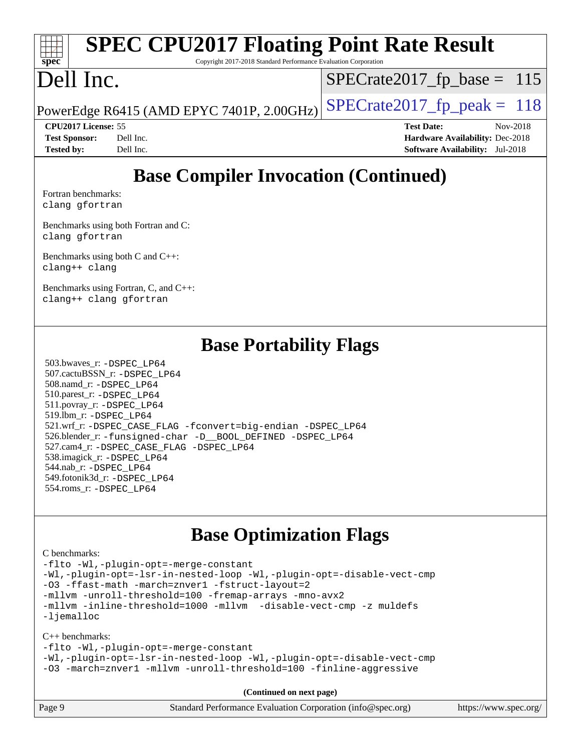#### **[spec](http://www.spec.org/) [SPEC CPU2017 Floating Point Rate Result](http://www.spec.org/auto/cpu2017/Docs/result-fields.html#SPECCPU2017FloatingPointRateResult)**

Copyright 2017-2018 Standard Performance Evaluation Corporation

## Dell Inc.

 $SPECTate2017_fp\_base = 115$ 

PowerEdge R6415 (AMD EPYC 7401P, 2.00GHz)  $\left|$  [SPECrate2017\\_fp\\_peak =](http://www.spec.org/auto/cpu2017/Docs/result-fields.html#SPECrate2017fppeak) 118

**[Tested by:](http://www.spec.org/auto/cpu2017/Docs/result-fields.html#Testedby)** Dell Inc. **[Software Availability:](http://www.spec.org/auto/cpu2017/Docs/result-fields.html#SoftwareAvailability)** Jul-2018

**[CPU2017 License:](http://www.spec.org/auto/cpu2017/Docs/result-fields.html#CPU2017License)** 55 **[Test Date:](http://www.spec.org/auto/cpu2017/Docs/result-fields.html#TestDate)** Nov-2018 **[Test Sponsor:](http://www.spec.org/auto/cpu2017/Docs/result-fields.html#TestSponsor)** Dell Inc. **[Hardware Availability:](http://www.spec.org/auto/cpu2017/Docs/result-fields.html#HardwareAvailability)** Dec-2018

## **[Base Compiler Invocation \(Continued\)](http://www.spec.org/auto/cpu2017/Docs/result-fields.html#BaseCompilerInvocation)**

[Fortran benchmarks](http://www.spec.org/auto/cpu2017/Docs/result-fields.html#Fortranbenchmarks): [clang](http://www.spec.org/cpu2017/results/res2018q4/cpu2017-20181126-09833.flags.html#user_FCbase_Fclang3_a68b77bfed473bd9cdd22529af008e8306c2e3948617c8991604c1a2000ee4a73ef90dd8bc793e105fe4165a625d26dacbda4708d828ad19048918c071b363ec) [gfortran](http://www.spec.org/cpu2017/results/res2018q4/cpu2017-20181126-09833.flags.html#user_FCbase_aocc-gfortran_128c91a56d61ddb07404721e65b8f9498c31a443dacbd3b7f212891090eca86e2d099b520f75b99e9e8ac4fdec01f4d15f0b65e47123ec4c42b0759045731a1f)

[Benchmarks using both Fortran and C](http://www.spec.org/auto/cpu2017/Docs/result-fields.html#BenchmarksusingbothFortranandC): [clang](http://www.spec.org/cpu2017/results/res2018q4/cpu2017-20181126-09833.flags.html#user_CC_FCbase_Fclang3_a68b77bfed473bd9cdd22529af008e8306c2e3948617c8991604c1a2000ee4a73ef90dd8bc793e105fe4165a625d26dacbda4708d828ad19048918c071b363ec) [gfortran](http://www.spec.org/cpu2017/results/res2018q4/cpu2017-20181126-09833.flags.html#user_CC_FCbase_aocc-gfortran_128c91a56d61ddb07404721e65b8f9498c31a443dacbd3b7f212891090eca86e2d099b520f75b99e9e8ac4fdec01f4d15f0b65e47123ec4c42b0759045731a1f)

[Benchmarks using both C and C++](http://www.spec.org/auto/cpu2017/Docs/result-fields.html#BenchmarksusingbothCandCXX): [clang++](http://www.spec.org/cpu2017/results/res2018q4/cpu2017-20181126-09833.flags.html#user_CC_CXXbase_Fclang3_57a48582e5be507d19b2527b3e7d4f85d9b8669ffc9a8a0dbb9bcf949a918a58bbab411e0c4d14a3922022a3e425a90db94042683824c1806feff4324ca1000d) [clang](http://www.spec.org/cpu2017/results/res2018q4/cpu2017-20181126-09833.flags.html#user_CC_CXXbase_Fclang3_a68b77bfed473bd9cdd22529af008e8306c2e3948617c8991604c1a2000ee4a73ef90dd8bc793e105fe4165a625d26dacbda4708d828ad19048918c071b363ec)

[Benchmarks using Fortran, C, and C++:](http://www.spec.org/auto/cpu2017/Docs/result-fields.html#BenchmarksusingFortranCandCXX) [clang++](http://www.spec.org/cpu2017/results/res2018q4/cpu2017-20181126-09833.flags.html#user_CC_CXX_FCbase_Fclang3_57a48582e5be507d19b2527b3e7d4f85d9b8669ffc9a8a0dbb9bcf949a918a58bbab411e0c4d14a3922022a3e425a90db94042683824c1806feff4324ca1000d) [clang](http://www.spec.org/cpu2017/results/res2018q4/cpu2017-20181126-09833.flags.html#user_CC_CXX_FCbase_Fclang3_a68b77bfed473bd9cdd22529af008e8306c2e3948617c8991604c1a2000ee4a73ef90dd8bc793e105fe4165a625d26dacbda4708d828ad19048918c071b363ec) [gfortran](http://www.spec.org/cpu2017/results/res2018q4/cpu2017-20181126-09833.flags.html#user_CC_CXX_FCbase_aocc-gfortran_128c91a56d61ddb07404721e65b8f9498c31a443dacbd3b7f212891090eca86e2d099b520f75b99e9e8ac4fdec01f4d15f0b65e47123ec4c42b0759045731a1f)

### **[Base Portability Flags](http://www.spec.org/auto/cpu2017/Docs/result-fields.html#BasePortabilityFlags)**

 503.bwaves\_r: [-DSPEC\\_LP64](http://www.spec.org/cpu2017/results/res2018q4/cpu2017-20181126-09833.flags.html#suite_baseEXTRA_PORTABILITY503_bwaves_r_DSPEC_LP64) 507.cactuBSSN\_r: [-DSPEC\\_LP64](http://www.spec.org/cpu2017/results/res2018q4/cpu2017-20181126-09833.flags.html#suite_baseEXTRA_PORTABILITY507_cactuBSSN_r_DSPEC_LP64) 508.namd\_r: [-DSPEC\\_LP64](http://www.spec.org/cpu2017/results/res2018q4/cpu2017-20181126-09833.flags.html#suite_baseEXTRA_PORTABILITY508_namd_r_DSPEC_LP64) 510.parest\_r: [-DSPEC\\_LP64](http://www.spec.org/cpu2017/results/res2018q4/cpu2017-20181126-09833.flags.html#suite_baseEXTRA_PORTABILITY510_parest_r_DSPEC_LP64) 511.povray\_r: [-DSPEC\\_LP64](http://www.spec.org/cpu2017/results/res2018q4/cpu2017-20181126-09833.flags.html#suite_baseEXTRA_PORTABILITY511_povray_r_DSPEC_LP64) 519.lbm\_r: [-DSPEC\\_LP64](http://www.spec.org/cpu2017/results/res2018q4/cpu2017-20181126-09833.flags.html#suite_baseEXTRA_PORTABILITY519_lbm_r_DSPEC_LP64) 521.wrf\_r: [-DSPEC\\_CASE\\_FLAG](http://www.spec.org/cpu2017/results/res2018q4/cpu2017-20181126-09833.flags.html#b521.wrf_r_baseCPORTABILITY_DSPEC_CASE_FLAG) [-fconvert=big-endian](http://www.spec.org/cpu2017/results/res2018q4/cpu2017-20181126-09833.flags.html#user_baseFPORTABILITY521_wrf_r_F-fconvert) [-DSPEC\\_LP64](http://www.spec.org/cpu2017/results/res2018q4/cpu2017-20181126-09833.flags.html#suite_baseEXTRA_PORTABILITY521_wrf_r_DSPEC_LP64) 526.blender\_r: [-funsigned-char](http://www.spec.org/cpu2017/results/res2018q4/cpu2017-20181126-09833.flags.html#user_baseCPORTABILITY526_blender_r_F-funsigned-char) [-D\\_\\_BOOL\\_DEFINED](http://www.spec.org/cpu2017/results/res2018q4/cpu2017-20181126-09833.flags.html#b526.blender_r_baseCXXPORTABILITY_D__BOOL_DEFINED) [-DSPEC\\_LP64](http://www.spec.org/cpu2017/results/res2018q4/cpu2017-20181126-09833.flags.html#suite_baseEXTRA_PORTABILITY526_blender_r_DSPEC_LP64) 527.cam4\_r: [-DSPEC\\_CASE\\_FLAG](http://www.spec.org/cpu2017/results/res2018q4/cpu2017-20181126-09833.flags.html#b527.cam4_r_basePORTABILITY_DSPEC_CASE_FLAG) [-DSPEC\\_LP64](http://www.spec.org/cpu2017/results/res2018q4/cpu2017-20181126-09833.flags.html#suite_baseEXTRA_PORTABILITY527_cam4_r_DSPEC_LP64) 538.imagick\_r: [-DSPEC\\_LP64](http://www.spec.org/cpu2017/results/res2018q4/cpu2017-20181126-09833.flags.html#suite_baseEXTRA_PORTABILITY538_imagick_r_DSPEC_LP64) 544.nab\_r: [-DSPEC\\_LP64](http://www.spec.org/cpu2017/results/res2018q4/cpu2017-20181126-09833.flags.html#suite_baseEXTRA_PORTABILITY544_nab_r_DSPEC_LP64) 549.fotonik3d\_r: [-DSPEC\\_LP64](http://www.spec.org/cpu2017/results/res2018q4/cpu2017-20181126-09833.flags.html#suite_baseEXTRA_PORTABILITY549_fotonik3d_r_DSPEC_LP64) 554.roms\_r: [-DSPEC\\_LP64](http://www.spec.org/cpu2017/results/res2018q4/cpu2017-20181126-09833.flags.html#suite_baseEXTRA_PORTABILITY554_roms_r_DSPEC_LP64)

#### **[Base Optimization Flags](http://www.spec.org/auto/cpu2017/Docs/result-fields.html#BaseOptimizationFlags)**

#### [C benchmarks](http://www.spec.org/auto/cpu2017/Docs/result-fields.html#Cbenchmarks):

[-flto](http://www.spec.org/cpu2017/results/res2018q4/cpu2017-20181126-09833.flags.html#user_CCbase_lto) [-Wl,-plugin-opt=-merge-constant](http://www.spec.org/cpu2017/results/res2018q4/cpu2017-20181126-09833.flags.html#user_CCbase_F-merge-constant_1d79771b5442061d9c8e05556c6b0c655e6c9e66f8c6936b0129d434b6acd2b1cf1b7cd2540d1570ff636111b08a6bc36e2e61fc34531f8ef7c1a34c57be1dbb) [-Wl,-plugin-opt=-lsr-in-nested-loop](http://www.spec.org/cpu2017/results/res2018q4/cpu2017-20181126-09833.flags.html#user_CCbase_lsr-in-nested-loop_1cff93fd95162f5e77640b5271e8bed680fb62b4a8d96fb8ab217ff3244646f1fbb342e31af83c263403bbf5249c7dc7732d5c86c3eab4cc8d32dcb7a6f33ca0) [-Wl,-plugin-opt=-disable-vect-cmp](http://www.spec.org/cpu2017/results/res2018q4/cpu2017-20181126-09833.flags.html#user_CCbase_disable-vect-cmp_1056b9a09b8ddc126e023b5f99ae33179ef568835465af9b7adeacf4b6480ff575c8aee439265bcfbcbf086f33f2fa5cca2bc4cf52b64c0cd2e10f6503cba02d) [-O3](http://www.spec.org/cpu2017/results/res2018q4/cpu2017-20181126-09833.flags.html#user_CCbase_F-O3) [-ffast-math](http://www.spec.org/cpu2017/results/res2018q4/cpu2017-20181126-09833.flags.html#user_CCbase_F-aocc-ffast-math_78dd175de6534c2005829757b9b0f2878e57b067cce6f7c443b2250ac68890960e2e1b320ca04b81ff7c62c6f87870ed05f06baf7875eea2990d38e3b73c71f1) [-march=znver1](http://www.spec.org/cpu2017/results/res2018q4/cpu2017-20181126-09833.flags.html#user_CCbase_F-march) [-fstruct-layout=2](http://www.spec.org/cpu2017/results/res2018q4/cpu2017-20181126-09833.flags.html#user_CCbase_F-fstruct-layout_a05ec02e17cdf7fe0c3950a6b005251b2b1e5e67af2b5298cf72714730c3d59ba290e75546b10aa22dac074c15ceaca36ae22c62cb51bcb2fbdc9dc4e7e222c4) [-mllvm -unroll-threshold=100](http://www.spec.org/cpu2017/results/res2018q4/cpu2017-20181126-09833.flags.html#user_CCbase_F-unroll-threshold_2755d0c78138845d361fa1543e3a063fffa198df9b3edf0cfb856bbc88a81e1769b12ac7a550c5d35197be55360db1a3f95a8d1304df999456cabf5120c45168) [-fremap-arrays](http://www.spec.org/cpu2017/results/res2018q4/cpu2017-20181126-09833.flags.html#user_CCbase_F-fremap-arrays) [-mno-avx2](http://www.spec.org/cpu2017/results/res2018q4/cpu2017-20181126-09833.flags.html#user_CCbase_F-mno-avx2) [-mllvm -inline-threshold=1000](http://www.spec.org/cpu2017/results/res2018q4/cpu2017-20181126-09833.flags.html#user_CCbase_inline-threshold_b7832241b0a6397e4ecdbaf0eb7defdc10f885c2a282fa3240fdc99844d543fda39cf8a4a9dccf68cf19b5438ac3b455264f478df15da0f4988afa40d8243bab) [-mllvm -disable-vect-cmp](http://www.spec.org/cpu2017/results/res2018q4/cpu2017-20181126-09833.flags.html#user_CCbase_disable-vect-cmp_d995c9eb800469498c6893dc847c54c903d59847b18cb2ac22011b9af7010c96d2d48d3c6b41246fe86945001509aa4dc528afb61cb238fd3b256a31781ea0cf) [-z muldefs](http://www.spec.org/cpu2017/results/res2018q4/cpu2017-20181126-09833.flags.html#user_CCbase_F-z-muldefs) [-ljemalloc](http://www.spec.org/cpu2017/results/res2018q4/cpu2017-20181126-09833.flags.html#user_CCbase_jemalloc-lib_d1249b907c500fa1c0672f44f562e3d0f79738ae9e3c4a9c376d49f265a04b9c99b167ecedbf6711b3085be911c67ff61f150a17b3472be731631ba4d0471706)

[C++ benchmarks:](http://www.spec.org/auto/cpu2017/Docs/result-fields.html#CXXbenchmarks)

[-flto](http://www.spec.org/cpu2017/results/res2018q4/cpu2017-20181126-09833.flags.html#user_CXXbase_lto) [-Wl,-plugin-opt=-merge-constant](http://www.spec.org/cpu2017/results/res2018q4/cpu2017-20181126-09833.flags.html#user_CXXbase_F-merge-constant_1d79771b5442061d9c8e05556c6b0c655e6c9e66f8c6936b0129d434b6acd2b1cf1b7cd2540d1570ff636111b08a6bc36e2e61fc34531f8ef7c1a34c57be1dbb)

[-Wl,-plugin-opt=-lsr-in-nested-loop](http://www.spec.org/cpu2017/results/res2018q4/cpu2017-20181126-09833.flags.html#user_CXXbase_lsr-in-nested-loop_1cff93fd95162f5e77640b5271e8bed680fb62b4a8d96fb8ab217ff3244646f1fbb342e31af83c263403bbf5249c7dc7732d5c86c3eab4cc8d32dcb7a6f33ca0) [-Wl,-plugin-opt=-disable-vect-cmp](http://www.spec.org/cpu2017/results/res2018q4/cpu2017-20181126-09833.flags.html#user_CXXbase_disable-vect-cmp_1056b9a09b8ddc126e023b5f99ae33179ef568835465af9b7adeacf4b6480ff575c8aee439265bcfbcbf086f33f2fa5cca2bc4cf52b64c0cd2e10f6503cba02d) [-O3](http://www.spec.org/cpu2017/results/res2018q4/cpu2017-20181126-09833.flags.html#user_CXXbase_F-O3) [-march=znver1](http://www.spec.org/cpu2017/results/res2018q4/cpu2017-20181126-09833.flags.html#user_CXXbase_F-march) [-mllvm -unroll-threshold=100](http://www.spec.org/cpu2017/results/res2018q4/cpu2017-20181126-09833.flags.html#user_CXXbase_F-unroll-threshold_2755d0c78138845d361fa1543e3a063fffa198df9b3edf0cfb856bbc88a81e1769b12ac7a550c5d35197be55360db1a3f95a8d1304df999456cabf5120c45168) [-finline-aggressive](http://www.spec.org/cpu2017/results/res2018q4/cpu2017-20181126-09833.flags.html#user_CXXbase_F-finline-aggressive)

**(Continued on next page)**

| Page 9 | Standard Performance Evaluation Corporation (info@spec.org) | https://www.spec.org/ |
|--------|-------------------------------------------------------------|-----------------------|
|--------|-------------------------------------------------------------|-----------------------|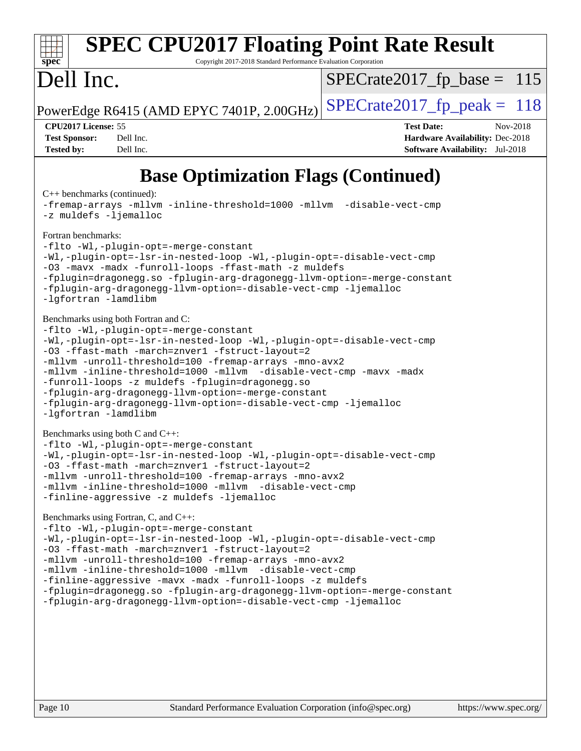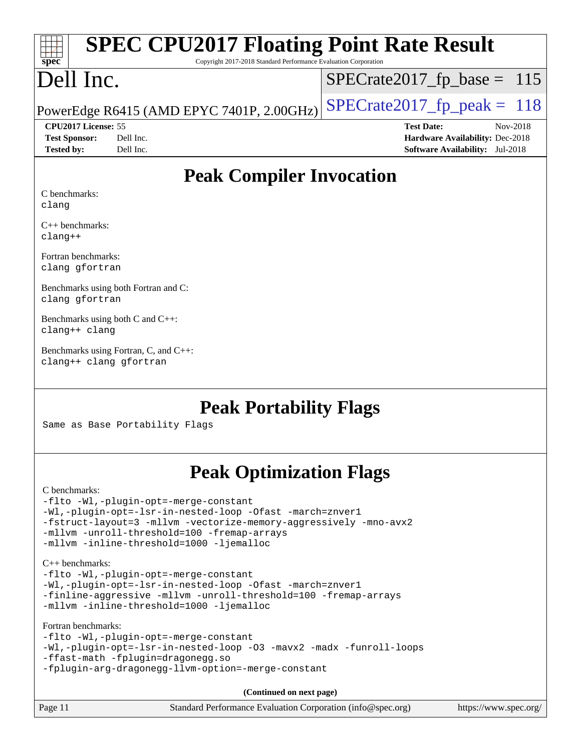| <b>SPEC CPU2017 Floating Point Rate Result</b><br>$\frac{1}{\text{spec}^*}$ |                                |
|-----------------------------------------------------------------------------|--------------------------------|
| Copyright 2017-2018 Standard Performance Evaluation Corporation             |                                |
| Dell Inc.                                                                   | $ SPECrate2017_fp\_base = 115$ |
| PowerEdge R6415 (AMD EPYC 7401P, 2.00GHz) $ SPECrate2017_fp\_peak = 118$    |                                |

| <b>Test Sponsor:</b> | Dell Inc. |
|----------------------|-----------|
| <b>Tested by:</b>    | Dell Inc. |

**[CPU2017 License:](http://www.spec.org/auto/cpu2017/Docs/result-fields.html#CPU2017License)** 55 **[Test Date:](http://www.spec.org/auto/cpu2017/Docs/result-fields.html#TestDate)** Nov-2018 **[Hardware Availability:](http://www.spec.org/auto/cpu2017/Docs/result-fields.html#HardwareAvailability)** Dec-2018 **[Software Availability:](http://www.spec.org/auto/cpu2017/Docs/result-fields.html#SoftwareAvailability)** Jul-2018

## **[Peak Compiler Invocation](http://www.spec.org/auto/cpu2017/Docs/result-fields.html#PeakCompilerInvocation)**

[C benchmarks](http://www.spec.org/auto/cpu2017/Docs/result-fields.html#Cbenchmarks): [clang](http://www.spec.org/cpu2017/results/res2018q4/cpu2017-20181126-09833.flags.html#user_CCpeak_Fclang3_a68b77bfed473bd9cdd22529af008e8306c2e3948617c8991604c1a2000ee4a73ef90dd8bc793e105fe4165a625d26dacbda4708d828ad19048918c071b363ec)

[C++ benchmarks](http://www.spec.org/auto/cpu2017/Docs/result-fields.html#CXXbenchmarks): [clang++](http://www.spec.org/cpu2017/results/res2018q4/cpu2017-20181126-09833.flags.html#user_CXXpeak_Fclang3_57a48582e5be507d19b2527b3e7d4f85d9b8669ffc9a8a0dbb9bcf949a918a58bbab411e0c4d14a3922022a3e425a90db94042683824c1806feff4324ca1000d)

[Fortran benchmarks:](http://www.spec.org/auto/cpu2017/Docs/result-fields.html#Fortranbenchmarks) [clang](http://www.spec.org/cpu2017/results/res2018q4/cpu2017-20181126-09833.flags.html#user_FCpeak_Fclang3_a68b77bfed473bd9cdd22529af008e8306c2e3948617c8991604c1a2000ee4a73ef90dd8bc793e105fe4165a625d26dacbda4708d828ad19048918c071b363ec) [gfortran](http://www.spec.org/cpu2017/results/res2018q4/cpu2017-20181126-09833.flags.html#user_FCpeak_aocc-gfortran_128c91a56d61ddb07404721e65b8f9498c31a443dacbd3b7f212891090eca86e2d099b520f75b99e9e8ac4fdec01f4d15f0b65e47123ec4c42b0759045731a1f)

[Benchmarks using both Fortran and C](http://www.spec.org/auto/cpu2017/Docs/result-fields.html#BenchmarksusingbothFortranandC): [clang](http://www.spec.org/cpu2017/results/res2018q4/cpu2017-20181126-09833.flags.html#user_CC_FCpeak_Fclang3_a68b77bfed473bd9cdd22529af008e8306c2e3948617c8991604c1a2000ee4a73ef90dd8bc793e105fe4165a625d26dacbda4708d828ad19048918c071b363ec) [gfortran](http://www.spec.org/cpu2017/results/res2018q4/cpu2017-20181126-09833.flags.html#user_CC_FCpeak_aocc-gfortran_128c91a56d61ddb07404721e65b8f9498c31a443dacbd3b7f212891090eca86e2d099b520f75b99e9e8ac4fdec01f4d15f0b65e47123ec4c42b0759045731a1f)

[Benchmarks using both C and C++:](http://www.spec.org/auto/cpu2017/Docs/result-fields.html#BenchmarksusingbothCandCXX) [clang++](http://www.spec.org/cpu2017/results/res2018q4/cpu2017-20181126-09833.flags.html#user_CC_CXXpeak_Fclang3_57a48582e5be507d19b2527b3e7d4f85d9b8669ffc9a8a0dbb9bcf949a918a58bbab411e0c4d14a3922022a3e425a90db94042683824c1806feff4324ca1000d) [clang](http://www.spec.org/cpu2017/results/res2018q4/cpu2017-20181126-09833.flags.html#user_CC_CXXpeak_Fclang3_a68b77bfed473bd9cdd22529af008e8306c2e3948617c8991604c1a2000ee4a73ef90dd8bc793e105fe4165a625d26dacbda4708d828ad19048918c071b363ec)

[Benchmarks using Fortran, C, and C++](http://www.spec.org/auto/cpu2017/Docs/result-fields.html#BenchmarksusingFortranCandCXX): [clang++](http://www.spec.org/cpu2017/results/res2018q4/cpu2017-20181126-09833.flags.html#user_CC_CXX_FCpeak_Fclang3_57a48582e5be507d19b2527b3e7d4f85d9b8669ffc9a8a0dbb9bcf949a918a58bbab411e0c4d14a3922022a3e425a90db94042683824c1806feff4324ca1000d) [clang](http://www.spec.org/cpu2017/results/res2018q4/cpu2017-20181126-09833.flags.html#user_CC_CXX_FCpeak_Fclang3_a68b77bfed473bd9cdd22529af008e8306c2e3948617c8991604c1a2000ee4a73ef90dd8bc793e105fe4165a625d26dacbda4708d828ad19048918c071b363ec) [gfortran](http://www.spec.org/cpu2017/results/res2018q4/cpu2017-20181126-09833.flags.html#user_CC_CXX_FCpeak_aocc-gfortran_128c91a56d61ddb07404721e65b8f9498c31a443dacbd3b7f212891090eca86e2d099b520f75b99e9e8ac4fdec01f4d15f0b65e47123ec4c42b0759045731a1f)

## **[Peak Portability Flags](http://www.spec.org/auto/cpu2017/Docs/result-fields.html#PeakPortabilityFlags)**

Same as Base Portability Flags

## **[Peak Optimization Flags](http://www.spec.org/auto/cpu2017/Docs/result-fields.html#PeakOptimizationFlags)**

[C benchmarks](http://www.spec.org/auto/cpu2017/Docs/result-fields.html#Cbenchmarks): [-flto](http://www.spec.org/cpu2017/results/res2018q4/cpu2017-20181126-09833.flags.html#user_CCpeak_lto) [-Wl,-plugin-opt=-merge-constant](http://www.spec.org/cpu2017/results/res2018q4/cpu2017-20181126-09833.flags.html#user_CCpeak_F-merge-constant_1d79771b5442061d9c8e05556c6b0c655e6c9e66f8c6936b0129d434b6acd2b1cf1b7cd2540d1570ff636111b08a6bc36e2e61fc34531f8ef7c1a34c57be1dbb) [-Wl,-plugin-opt=-lsr-in-nested-loop](http://www.spec.org/cpu2017/results/res2018q4/cpu2017-20181126-09833.flags.html#user_CCpeak_lsr-in-nested-loop_1cff93fd95162f5e77640b5271e8bed680fb62b4a8d96fb8ab217ff3244646f1fbb342e31af83c263403bbf5249c7dc7732d5c86c3eab4cc8d32dcb7a6f33ca0) [-Ofast](http://www.spec.org/cpu2017/results/res2018q4/cpu2017-20181126-09833.flags.html#user_CCpeak_F-aocc-Ofast) [-march=znver1](http://www.spec.org/cpu2017/results/res2018q4/cpu2017-20181126-09833.flags.html#user_CCpeak_F-march) [-fstruct-layout=3](http://www.spec.org/cpu2017/results/res2018q4/cpu2017-20181126-09833.flags.html#user_CCpeak_F-fstruct-layout) [-mllvm -vectorize-memory-aggressively](http://www.spec.org/cpu2017/results/res2018q4/cpu2017-20181126-09833.flags.html#user_CCpeak_vectorize-memory-aggressively_24b72a4417f50ade9e698c5b3bed87ab456cc6fc8ec6439480cb84f36ad6a3975af6e87206dea402e3871a1464ff3d60bc798e0250f330177ba629a260df1857) [-mno-avx2](http://www.spec.org/cpu2017/results/res2018q4/cpu2017-20181126-09833.flags.html#user_CCpeak_F-mno-avx2) [-mllvm -unroll-threshold=100](http://www.spec.org/cpu2017/results/res2018q4/cpu2017-20181126-09833.flags.html#user_CCpeak_F-unroll-threshold_2755d0c78138845d361fa1543e3a063fffa198df9b3edf0cfb856bbc88a81e1769b12ac7a550c5d35197be55360db1a3f95a8d1304df999456cabf5120c45168) [-fremap-arrays](http://www.spec.org/cpu2017/results/res2018q4/cpu2017-20181126-09833.flags.html#user_CCpeak_F-fremap-arrays) [-mllvm -inline-threshold=1000](http://www.spec.org/cpu2017/results/res2018q4/cpu2017-20181126-09833.flags.html#user_CCpeak_inline-threshold_b7832241b0a6397e4ecdbaf0eb7defdc10f885c2a282fa3240fdc99844d543fda39cf8a4a9dccf68cf19b5438ac3b455264f478df15da0f4988afa40d8243bab) [-ljemalloc](http://www.spec.org/cpu2017/results/res2018q4/cpu2017-20181126-09833.flags.html#user_CCpeak_jemalloc-lib_d1249b907c500fa1c0672f44f562e3d0f79738ae9e3c4a9c376d49f265a04b9c99b167ecedbf6711b3085be911c67ff61f150a17b3472be731631ba4d0471706) [C++ benchmarks:](http://www.spec.org/auto/cpu2017/Docs/result-fields.html#CXXbenchmarks) [-flto](http://www.spec.org/cpu2017/results/res2018q4/cpu2017-20181126-09833.flags.html#user_CXXpeak_lto) [-Wl,-plugin-opt=-merge-constant](http://www.spec.org/cpu2017/results/res2018q4/cpu2017-20181126-09833.flags.html#user_CXXpeak_F-merge-constant_1d79771b5442061d9c8e05556c6b0c655e6c9e66f8c6936b0129d434b6acd2b1cf1b7cd2540d1570ff636111b08a6bc36e2e61fc34531f8ef7c1a34c57be1dbb) [-Wl,-plugin-opt=-lsr-in-nested-loop](http://www.spec.org/cpu2017/results/res2018q4/cpu2017-20181126-09833.flags.html#user_CXXpeak_lsr-in-nested-loop_1cff93fd95162f5e77640b5271e8bed680fb62b4a8d96fb8ab217ff3244646f1fbb342e31af83c263403bbf5249c7dc7732d5c86c3eab4cc8d32dcb7a6f33ca0) [-Ofast](http://www.spec.org/cpu2017/results/res2018q4/cpu2017-20181126-09833.flags.html#user_CXXpeak_F-aocc-Ofast) [-march=znver1](http://www.spec.org/cpu2017/results/res2018q4/cpu2017-20181126-09833.flags.html#user_CXXpeak_F-march) [-finline-aggressive](http://www.spec.org/cpu2017/results/res2018q4/cpu2017-20181126-09833.flags.html#user_CXXpeak_F-finline-aggressive) [-mllvm -unroll-threshold=100](http://www.spec.org/cpu2017/results/res2018q4/cpu2017-20181126-09833.flags.html#user_CXXpeak_F-unroll-threshold_2755d0c78138845d361fa1543e3a063fffa198df9b3edf0cfb856bbc88a81e1769b12ac7a550c5d35197be55360db1a3f95a8d1304df999456cabf5120c45168) [-fremap-arrays](http://www.spec.org/cpu2017/results/res2018q4/cpu2017-20181126-09833.flags.html#user_CXXpeak_F-fremap-arrays) [-mllvm -inline-threshold=1000](http://www.spec.org/cpu2017/results/res2018q4/cpu2017-20181126-09833.flags.html#user_CXXpeak_inline-threshold_b7832241b0a6397e4ecdbaf0eb7defdc10f885c2a282fa3240fdc99844d543fda39cf8a4a9dccf68cf19b5438ac3b455264f478df15da0f4988afa40d8243bab) [-ljemalloc](http://www.spec.org/cpu2017/results/res2018q4/cpu2017-20181126-09833.flags.html#user_CXXpeak_jemalloc-lib_d1249b907c500fa1c0672f44f562e3d0f79738ae9e3c4a9c376d49f265a04b9c99b167ecedbf6711b3085be911c67ff61f150a17b3472be731631ba4d0471706) [Fortran benchmarks](http://www.spec.org/auto/cpu2017/Docs/result-fields.html#Fortranbenchmarks): [-flto](http://www.spec.org/cpu2017/results/res2018q4/cpu2017-20181126-09833.flags.html#user_FCpeak_lto) [-Wl,-plugin-opt=-merge-constant](http://www.spec.org/cpu2017/results/res2018q4/cpu2017-20181126-09833.flags.html#user_FCpeak_F-merge-constant_1d79771b5442061d9c8e05556c6b0c655e6c9e66f8c6936b0129d434b6acd2b1cf1b7cd2540d1570ff636111b08a6bc36e2e61fc34531f8ef7c1a34c57be1dbb) [-Wl,-plugin-opt=-lsr-in-nested-loop](http://www.spec.org/cpu2017/results/res2018q4/cpu2017-20181126-09833.flags.html#user_FCpeak_lsr-in-nested-loop_1cff93fd95162f5e77640b5271e8bed680fb62b4a8d96fb8ab217ff3244646f1fbb342e31af83c263403bbf5249c7dc7732d5c86c3eab4cc8d32dcb7a6f33ca0) [-O3](http://www.spec.org/cpu2017/results/res2018q4/cpu2017-20181126-09833.flags.html#user_FCpeak_F-O3) [-mavx2](http://www.spec.org/cpu2017/results/res2018q4/cpu2017-20181126-09833.flags.html#user_FCpeak_F-mavx2) [-madx](http://www.spec.org/cpu2017/results/res2018q4/cpu2017-20181126-09833.flags.html#user_FCpeak_F-madx) [-funroll-loops](http://www.spec.org/cpu2017/results/res2018q4/cpu2017-20181126-09833.flags.html#user_FCpeak_aocc-funroll-loops) [-ffast-math](http://www.spec.org/cpu2017/results/res2018q4/cpu2017-20181126-09833.flags.html#user_FCpeak_F-aocc-ffast-math_78dd175de6534c2005829757b9b0f2878e57b067cce6f7c443b2250ac68890960e2e1b320ca04b81ff7c62c6f87870ed05f06baf7875eea2990d38e3b73c71f1) [-fplugin=dragonegg.so](http://www.spec.org/cpu2017/results/res2018q4/cpu2017-20181126-09833.flags.html#user_FCpeak_F-fpluginDragonEgg) [-fplugin-arg-dragonegg-llvm-option=-merge-constant](http://www.spec.org/cpu2017/results/res2018q4/cpu2017-20181126-09833.flags.html#user_FCpeak_F-merge-constant_37fd66d07a4fbae8f1b816e843c3ed1ebaa48f794b65ea8be746a1880566a3d23eba4a3c37b5c024650311adcf9247c62af28144803b3729b14be14423fa5142) **(Continued on next page)**

| Page 11 | Standard Performance Evaluation Corporation (info@spec.org) | https://www.spec.org/ |
|---------|-------------------------------------------------------------|-----------------------|
|         |                                                             |                       |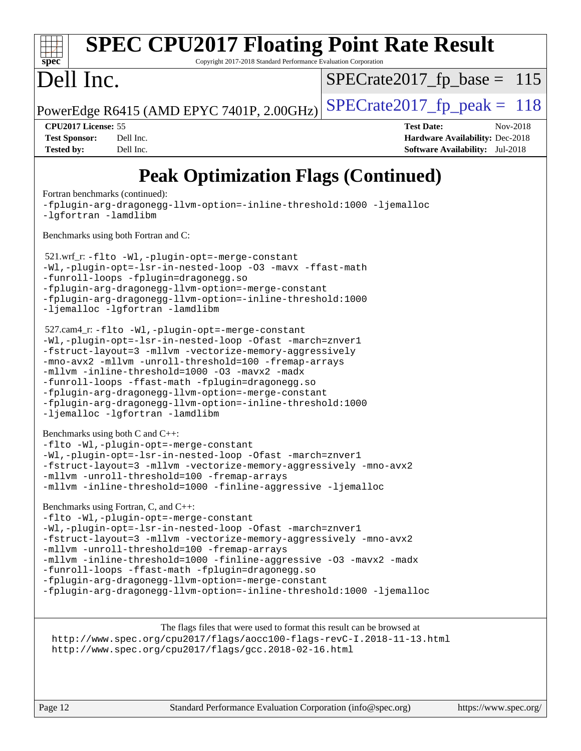#### **[spec](http://www.spec.org/) [SPEC CPU2017 Floating Point Rate Result](http://www.spec.org/auto/cpu2017/Docs/result-fields.html#SPECCPU2017FloatingPointRateResult)** Copyright 2017-2018 Standard Performance Evaluation Corporation Dell Inc. PowerEdge R6415 (AMD EPYC 7401P, 2.00GHz)  $\text{SPECrate}$  2017 fp peak = 118  $SPECTate2017_fp\_base = 115$ **[CPU2017 License:](http://www.spec.org/auto/cpu2017/Docs/result-fields.html#CPU2017License)** 55 **[Test Date:](http://www.spec.org/auto/cpu2017/Docs/result-fields.html#TestDate)** Nov-2018 **[Test Sponsor:](http://www.spec.org/auto/cpu2017/Docs/result-fields.html#TestSponsor)** Dell Inc. **[Hardware Availability:](http://www.spec.org/auto/cpu2017/Docs/result-fields.html#HardwareAvailability)** Dec-2018 **[Tested by:](http://www.spec.org/auto/cpu2017/Docs/result-fields.html#Testedby)** Dell Inc. **[Software Availability:](http://www.spec.org/auto/cpu2017/Docs/result-fields.html#SoftwareAvailability)** Jul-2018 **[Peak Optimization Flags \(Continued\)](http://www.spec.org/auto/cpu2017/Docs/result-fields.html#PeakOptimizationFlags)** [Fortran benchmarks](http://www.spec.org/auto/cpu2017/Docs/result-fields.html#Fortranbenchmarks) (continued):

```
-fplugin-arg-dragonegg-llvm-option=-inline-threshold:1000 -ljemalloc
-lgfortran -lamdlibm
Benchmarks using both Fortran and C: 
 521.wrf_r: -flto -Wl,-plugin-opt=-merge-constant
-Wl,-plugin-opt=-lsr-in-nested-loop -O3 -mavx -ffast-math
-funroll-loops -fplugin=dragonegg.so
-fplugin-arg-dragonegg-llvm-option=-merge-constant
-fplugin-arg-dragonegg-llvm-option=-inline-threshold:1000
-ljemalloc -lgfortran -lamdlibm
 527.cam4_r: -flto -Wl,-plugin-opt=-merge-constant
-Wl,-plugin-opt=-lsr-in-nested-loop -Ofast -march=znver1
-fstruct-layout=3 -mllvm -vectorize-memory-aggressively
-mno-avx2 -mllvm -unroll-threshold=100 -fremap-arrays
-mllvm -inline-threshold=1000 -O3 -mavx2 -madx
-funroll-loops -ffast-math -fplugin=dragonegg.so
-fplugin-arg-dragonegg-llvm-option=-merge-constant
-fplugin-arg-dragonegg-llvm-option=-inline-threshold:1000
-ljemalloc -lgfortran -lamdlibm
Benchmarks using both C and C++: 
-flto -Wl,-plugin-opt=-merge-constant
-Wl,-plugin-opt=-lsr-in-nested-loop -Ofast -march=znver1
-fstruct-layout=3 -mllvm -vectorize-memory-aggressively -mno-avx2
-mllvm -unroll-threshold=100 -fremap-arrays
-mllvm -inline-threshold=1000 -finline-aggressive -ljemalloc
Benchmarks using Fortran, C, and C++: 
-flto -Wl,-plugin-opt=-merge-constant
-Wl,-plugin-opt=-lsr-in-nested-loop -Ofast -march=znver1
-fstruct-layout=3 -mllvm -vectorize-memory-aggressively -mno-avx2
-mllvm -unroll-threshold=100 -fremap-arrays
-mllvm -inline-threshold=1000 -finline-aggressive -O3 -mavx2 -madx
```
[-funroll-loops](http://www.spec.org/cpu2017/results/res2018q4/cpu2017-20181126-09833.flags.html#user_CC_CXX_FCpeak_aocc-funroll-loops) [-ffast-math](http://www.spec.org/cpu2017/results/res2018q4/cpu2017-20181126-09833.flags.html#user_CC_CXX_FCpeak_F-aocc-ffast-math_78dd175de6534c2005829757b9b0f2878e57b067cce6f7c443b2250ac68890960e2e1b320ca04b81ff7c62c6f87870ed05f06baf7875eea2990d38e3b73c71f1) [-fplugin=dragonegg.so](http://www.spec.org/cpu2017/results/res2018q4/cpu2017-20181126-09833.flags.html#user_CC_CXX_FCpeak_F-fpluginDragonEgg)

[-fplugin-arg-dragonegg-llvm-option=-merge-constant](http://www.spec.org/cpu2017/results/res2018q4/cpu2017-20181126-09833.flags.html#user_CC_CXX_FCpeak_F-merge-constant_37fd66d07a4fbae8f1b816e843c3ed1ebaa48f794b65ea8be746a1880566a3d23eba4a3c37b5c024650311adcf9247c62af28144803b3729b14be14423fa5142)

[-fplugin-arg-dragonegg-llvm-option=-inline-threshold:1000](http://www.spec.org/cpu2017/results/res2018q4/cpu2017-20181126-09833.flags.html#user_CC_CXX_FCpeak_inline-threshold_eec74946bf81becf626625ea3f1757217b7f1e09b0c056df6f4a6dc542562255a9e8a6d36c454b3b2ed3e147f40cf87a14a68e01ad47a8b90b49f15f387f919f) [-ljemalloc](http://www.spec.org/cpu2017/results/res2018q4/cpu2017-20181126-09833.flags.html#user_CC_CXX_FCpeak_jemalloc-lib_d1249b907c500fa1c0672f44f562e3d0f79738ae9e3c4a9c376d49f265a04b9c99b167ecedbf6711b3085be911c67ff61f150a17b3472be731631ba4d0471706)

The flags files that were used to format this result can be browsed at <http://www.spec.org/cpu2017/flags/aocc100-flags-revC-I.2018-11-13.html> <http://www.spec.org/cpu2017/flags/gcc.2018-02-16.html>